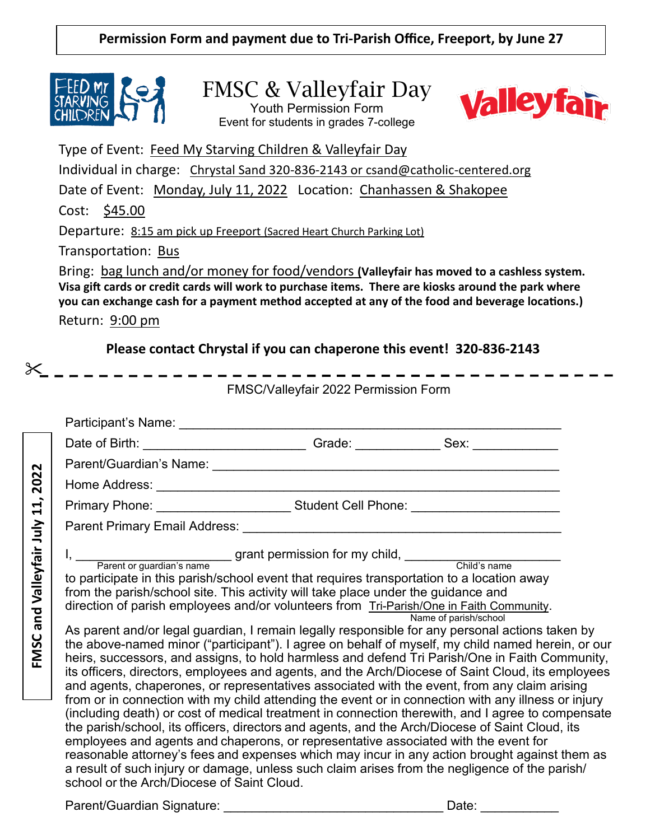

FMSC & Valleyfair Day

Youth Permission Form Event for students in grades 7-college



Type of Event: Feed My Starving Children & Valleyfair Day

Individual in charge: Chrystal Sand 320-836-2143 or csand@catholic-centered.org

Date of Event: Monday, July 11, 2022 Location: Chanhassen & Shakopee

Cost: \$45.00

Departure: 8:15 am pick up Freeport (Sacred Heart Church Parking Lot)

Transportation: Bus

Bring: bag lunch and/or money for food/vendors **(Valleyfair has moved to a cashless system. Visa gift cards or credit cards will work to purchase items. There are kiosks around the park where you can exchange cash for a payment method accepted at any of the food and beverage locations.)**

Return: 9:00 pm

**Please contact Chrystal if you can chaperone this event! 320-836-2143**

FMSC/Valleyfair 2022 Permission Form

|                                                                                                                              |                                                                                                                                                                                                                                                                                                                                                                                                                                                                                                                                                                                                                                                                                                                                                                                                                                                                                                                                                                                                                                                                                                                                                                                                                                                                                                                                                                                                                                                                           | Date of Birth: _________________________________Grade: _________________Sex: _______________________ |  |
|------------------------------------------------------------------------------------------------------------------------------|---------------------------------------------------------------------------------------------------------------------------------------------------------------------------------------------------------------------------------------------------------------------------------------------------------------------------------------------------------------------------------------------------------------------------------------------------------------------------------------------------------------------------------------------------------------------------------------------------------------------------------------------------------------------------------------------------------------------------------------------------------------------------------------------------------------------------------------------------------------------------------------------------------------------------------------------------------------------------------------------------------------------------------------------------------------------------------------------------------------------------------------------------------------------------------------------------------------------------------------------------------------------------------------------------------------------------------------------------------------------------------------------------------------------------------------------------------------------------|------------------------------------------------------------------------------------------------------|--|
| $\sim$<br>$\sim$<br>$\overline{20}$<br>$\mathbf{1}$<br>$\overline{ }$<br>nd Valleyfair July<br>$\boldsymbol{\sigma}$<br>FMSC |                                                                                                                                                                                                                                                                                                                                                                                                                                                                                                                                                                                                                                                                                                                                                                                                                                                                                                                                                                                                                                                                                                                                                                                                                                                                                                                                                                                                                                                                           |                                                                                                      |  |
|                                                                                                                              |                                                                                                                                                                                                                                                                                                                                                                                                                                                                                                                                                                                                                                                                                                                                                                                                                                                                                                                                                                                                                                                                                                                                                                                                                                                                                                                                                                                                                                                                           |                                                                                                      |  |
|                                                                                                                              |                                                                                                                                                                                                                                                                                                                                                                                                                                                                                                                                                                                                                                                                                                                                                                                                                                                                                                                                                                                                                                                                                                                                                                                                                                                                                                                                                                                                                                                                           | Primary Phone: _________________________Student Cell Phone: ____________________                     |  |
|                                                                                                                              |                                                                                                                                                                                                                                                                                                                                                                                                                                                                                                                                                                                                                                                                                                                                                                                                                                                                                                                                                                                                                                                                                                                                                                                                                                                                                                                                                                                                                                                                           |                                                                                                      |  |
|                                                                                                                              | to participate in this parish/school event that requires transportation to a location away<br>from the parish/school site. This activity will take place under the guidance and<br>direction of parish employees and/or volunteers from Tri-Parish/One in Faith Community.<br>Name of parish/school<br>As parent and/or legal guardian, I remain legally responsible for any personal actions taken by<br>the above-named minor ("participant"). I agree on behalf of myself, my child named herein, or our<br>heirs, successors, and assigns, to hold harmless and defend Tri Parish/One in Faith Community,<br>its officers, directors, employees and agents, and the Arch/Diocese of Saint Cloud, its employees<br>and agents, chaperones, or representatives associated with the event, from any claim arising<br>from or in connection with my child attending the event or in connection with any illness or injury<br>(including death) or cost of medical treatment in connection therewith, and I agree to compensate<br>the parish/school, its officers, directors and agents, and the Arch/Diocese of Saint Cloud, its<br>employees and agents and chaperons, or representative associated with the event for<br>reasonable attorney's fees and expenses which may incur in any action brought against them as<br>a result of such injury or damage, unless such claim arises from the negligence of the parish/<br>school or the Arch/Diocese of Saint Cloud. |                                                                                                      |  |
|                                                                                                                              |                                                                                                                                                                                                                                                                                                                                                                                                                                                                                                                                                                                                                                                                                                                                                                                                                                                                                                                                                                                                                                                                                                                                                                                                                                                                                                                                                                                                                                                                           |                                                                                                      |  |

Parent/Guardian Signature: etc. and the contract of the Date: